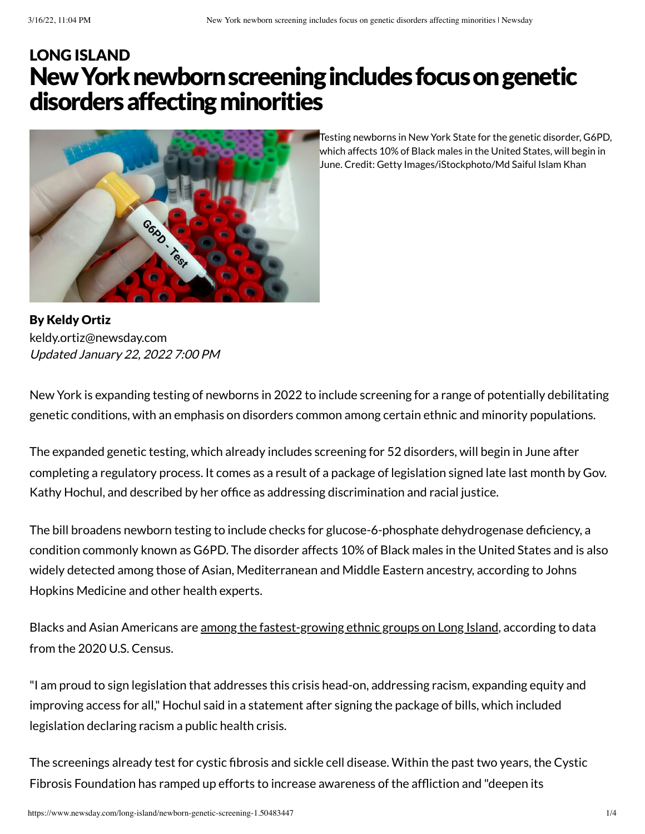# New York newborn screening includes focus on genetic disorders affecting minorities LONG [ISLAND](https://www.newsday.com/long-island)



Testing newborns in New York State for the genetic disorder, G6PD, which affects 10% of Black males in the United States, will begin in June. Credit: Getty Images/iStockphoto/Md Saiful Islam Khan

By Keldy Ortiz Updated January 22, 2022 7:00 PM [keldy.ortiz@newsday.com](mailto:keldy.ortiz@newsday.com?subject=New%20York%20newborn%20screening%C2%A0includes%C2%A0focus%20on%20genetic%20disorders%20affecting%20minorities&body=New%20York%20is%20expanding%20testing%20of%20newborns%20in%202022%20to%20include%20screening%20for%20a%20range%20of%20potentially%20debilitating%20genetic%20conditions,%20with%20an%20emphasis%20on%20disorders%20common%20among%20certain%20ethnic%20and%20minorit%0D%0Ahttps://www.newsday.com/long-island/newborn-genetic-screening-1.50483447)

New York is expanding testing of newborns in 2022 to include screening for a range of potentially debilitating genetic conditions, with an emphasis on disorders common among certain ethnic and minority populations.

The expanded genetic testing, which already includes screening for 52 disorders, will begin in June after completing a regulatory process. It comes as a result of a package of legislation signed late last month by Gov. Kathy Hochul, and described by her office as addressing discrimination and racial justice.

The bill broadens newborn testing to include checks for glucose-6-phosphate dehydrogenase deficiency, a condition commonly known as G6PD. The disorder affects 10% of Black males in the United States and is also widely detected among those of Asian, Mediterranean and Middle Eastern ancestry, according to Johns Hopkins Medicine and other health experts.

Blacks and Asian Americans are among the [fastest-growing](https://www.newsday.com/long-island/population-gains-losses-long-island-1.50332854) ethnic groups on Long Island, according to data from the 2020 U.S. Census.

"I am proud to sign legislation that addresses this crisis head-on, addressing racism, expanding equity and improving access for all," Hochul said in a statement after signing the package of bills, which included legislation declaring racism a public health crisis.

The screenings already test for cystic fibrosis and sickle cell disease. Within the past two years, the Cystic Fibrosis Foundation has ramped up efforts to increase awareness of the affliction and "deepen its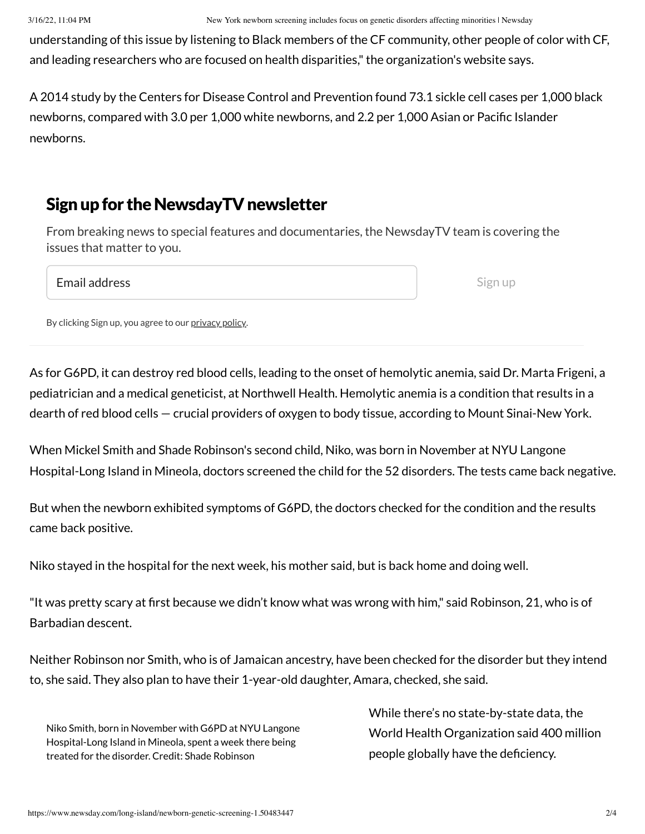3/16/22, 11:04 PM New York newborn screening includes focus on genetic disorders affecting minorities | Newsday

understanding of this issue by listening to Black members of the CF community, other people of color with CF, and leading researchers who are focused on health disparities,"the organization's website says.

A 2014 study by the Centers for Disease Control and Prevention found 73.1 sickle cell cases per 1,000 black newborns, compared with 3.0 per 1,000 white newborns, and 2.2 per 1,000 Asian or Pacific Islander newborns.

### Sign up for the NewsdayTV newsletter

From breaking news to special features and documentaries, the NewsdayTV team is covering the issues that matter to you.

Email address

Sign up

By clicking Sign up, you agree to our [privacy](https://www.newsday.com/privacy) policy.

As for G6PD, it can destroy red blood cells, leading to the onset of hemolytic anemia, said Dr. Marta Frigeni, a pediatrician and a medical geneticist, at Northwell Health. Hemolytic anemia is a condition that results in a dearth of red blood cells — crucial providers of oxygen to body tissue, according to Mount Sinai-New York.

When Mickel Smith and Shade Robinson's second child, Niko, was born in November at NYU Langone Hospital-Long Island in Mineola, doctors screened the child for the 52 disorders. The tests came back negative.

But when the newborn exhibited symptoms of G6PD, the doctors checked for the condition and the results came back positive.

Niko stayed in the hospital for the next week, his mother said, but is back home and doing well.

"It was pretty scary at first because we didn't know what was wrong with him," said Robinson, 21, who is of Barbadian descent.

Neither Robinson nor Smith, who is of Jamaican ancestry, have been checked for the disorder but they intend to, she said. They also plan to have their 1-year-old daughter, Amara, checked, she said.

Niko Smith, born in November with G6PD at NYU Langone Hospital-Long Island in Mineola, spent a week there being treated for the disorder. Credit: Shade Robinson

While there's no state-by-state data, the World Health Organization said 400 million people globally have the deficiency.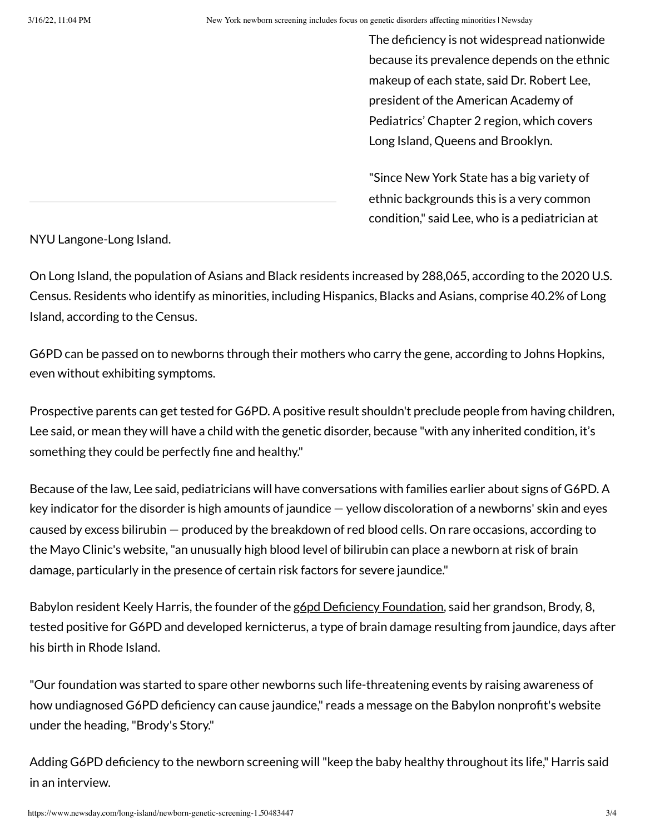The deficiency is not widespread nationwide because its prevalence depends on the ethnic makeup of each state, said Dr. Robert Lee, president of the American Academy of Pediatrics' Chapter 2 region, which covers Long Island, Queens and Brooklyn.

"Since New York State has a big variety of ethnic backgrounds this is a very common condition," said Lee, who is a pediatrician at

NYU Langone-Long Island.

On Long Island, the population of Asians and Black residents increased by 288,065, according to the 2020 U.S. Census. Residents who identify as minorities, including Hispanics, Blacks and Asians, comprise 40.2% of Long Island, according to the Census.

G6PD can be passed on to newborns through their mothers who carry the gene, according to Johns Hopkins, even without exhibiting symptoms.

Prospective parents can get tested for G6PD. A positive result shouldn't preclude people from having children, Lee said, or mean they will have a child with the genetic disorder, because "with any inherited condition, it's something they could be perfectly fine and healthy."

Because of the law, Lee said, pediatricians will have conversations with families earlier about signs of G6PD. A key indicator for the disorder is high amounts of jaundice — yellow discoloration of a newborns' skin and eyes caused by excess bilirubin — produced by the breakdown of red blood cells. On rare occasions, according to the Mayo Clinic's website,"an unusually high blood level of bilirubin can place a newborn at risk of brain damage, particularly in the presence of certain risk factors for severe jaundice."

Babylon resident Keely Harris, the founder of the gopd Deficiency Foundation, said her grandson, Brody, 8, tested positive for G6PD and developed kernicterus, a type of brain damage resulting from jaundice, days after his birth in Rhode Island.

"Our foundation was started to spare other newborns such life-threatening events by raising awareness of how undiagnosed G6PD deficiency can cause jaundice," reads a message on the Babylon nonprofit's website under the heading,"Brody's Story."

Adding G6PD deficiency to the newborn screening will"keep the baby healthy throughout its life," Harris said in an interview.